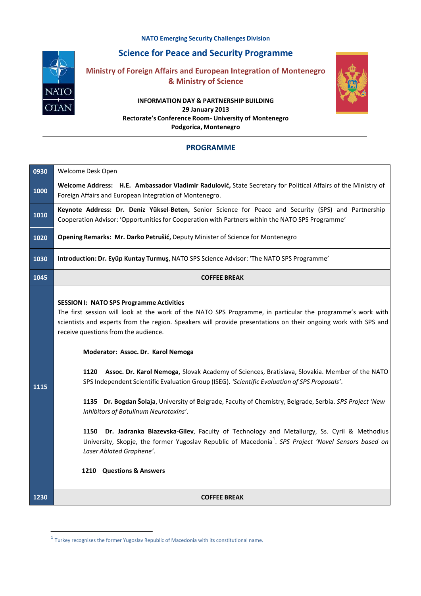**NATO Emerging Security Challenges Division**



## **Science for Peace and Security Programme**

**Ministry of Foreign Affairs and European Integration of Montenegro & Ministry of Science**

## **INFORMATION DAY & PARTNERSHIP BUILDING 29 January 2013 Rectorate's Conference Room- University of Montenegro Podgorica, Montenegro**



## **PROGRAMME**

| 0930 | Welcome Desk Open                                                                                                                                                                                                                                                                                                                                                                                                                                                                                                                                                                                                                                                                                                                                                                                                                                                                                                                                                                                             |
|------|---------------------------------------------------------------------------------------------------------------------------------------------------------------------------------------------------------------------------------------------------------------------------------------------------------------------------------------------------------------------------------------------------------------------------------------------------------------------------------------------------------------------------------------------------------------------------------------------------------------------------------------------------------------------------------------------------------------------------------------------------------------------------------------------------------------------------------------------------------------------------------------------------------------------------------------------------------------------------------------------------------------|
| 1000 | Welcome Address: H.E. Ambassador Vladimir Radulović, State Secretary for Political Affairs of the Ministry of<br>Foreign Affairs and European Integration of Montenegro.                                                                                                                                                                                                                                                                                                                                                                                                                                                                                                                                                                                                                                                                                                                                                                                                                                      |
| 1010 | Keynote Address: Dr. Deniz Yüksel-Beten, Senior Science for Peace and Security (SPS) and Partnership<br>Cooperation Advisor: 'Opportunities for Cooperation with Partners within the NATO SPS Programme'                                                                                                                                                                                                                                                                                                                                                                                                                                                                                                                                                                                                                                                                                                                                                                                                      |
| 1020 | Opening Remarks: Mr. Darko Petrušić, Deputy Minister of Science for Montenegro                                                                                                                                                                                                                                                                                                                                                                                                                                                                                                                                                                                                                                                                                                                                                                                                                                                                                                                                |
| 1030 | Introduction: Dr. Eyüp Kuntay Turmuş, NATO SPS Science Advisor: 'The NATO SPS Programme'                                                                                                                                                                                                                                                                                                                                                                                                                                                                                                                                                                                                                                                                                                                                                                                                                                                                                                                      |
| 1045 | <b>COFFEE BREAK</b>                                                                                                                                                                                                                                                                                                                                                                                                                                                                                                                                                                                                                                                                                                                                                                                                                                                                                                                                                                                           |
| 1115 | <b>SESSION I: NATO SPS Programme Activities</b><br>The first session will look at the work of the NATO SPS Programme, in particular the programme's work with<br>scientists and experts from the region. Speakers will provide presentations on their ongoing work with SPS and<br>receive questions from the audience.<br>Moderator: Assoc. Dr. Karol Nemoga<br>Assoc. Dr. Karol Nemoga, Slovak Academy of Sciences, Bratislava, Slovakia. Member of the NATO<br>1120<br>SPS Independent Scientific Evaluation Group (ISEG). 'Scientific Evaluation of SPS Proposals'.<br>1135 Dr. Bogdan Šolaja, University of Belgrade, Faculty of Chemistry, Belgrade, Serbia. SPS Project 'New<br>Inhibitors of Botulinum Neurotoxins'.<br>Dr. Jadranka Blazevska-Gilev, Faculty of Technology and Metallurgy, Ss. Cyril & Methodius<br>1150<br>University, Skopje, the former Yugoslav Republic of Macedonia <sup>1</sup> . SPS Project 'Novel Sensors based on<br>Laser Ablated Graphene'.<br>1210 Questions & Answers |
| 1230 | <b>COFFEE BREAK</b>                                                                                                                                                                                                                                                                                                                                                                                                                                                                                                                                                                                                                                                                                                                                                                                                                                                                                                                                                                                           |

 $<sup>1</sup>$  Turkey recognises the former Yugoslav Republic of Macedonia with its constitutional name.</sup>